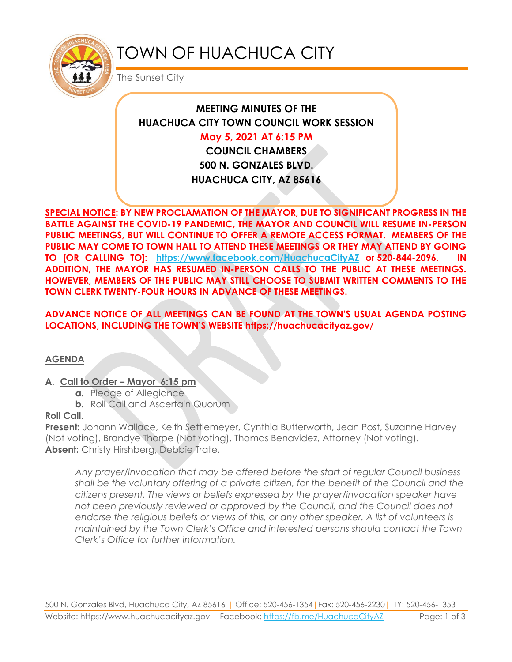

# TOWN OF HUACHUCA CITY

The Sunset City

# **MEETING MINUTES OF THE HUACHUCA CITY TOWN COUNCIL WORK SESSION**

# **May 5, 2021 AT 6:15 PM**

**COUNCIL CHAMBERS 500 N. GONZALES BLVD. HUACHUCA CITY, AZ 85616**

**SPECIAL NOTICE: BY NEW PROCLAMATION OF THE MAYOR, DUE TO SIGNIFICANT PROGRESS IN THE BATTLE AGAINST THE COVID-19 PANDEMIC, THE MAYOR AND COUNCIL WILL RESUME IN-PERSON PUBLIC MEETINGS, BUT WILL CONTINUE TO OFFER A REMOTE ACCESS FORMAT. MEMBERS OF THE PUBLIC MAY COME TO TOWN HALL TO ATTEND THESE MEETINGS OR THEY MAY ATTEND BY GOING TO [OR CALLING TO]: <https://www.facebook.com/HuachucaCityAZ> or 520-844-2096. IN ADDITION, THE MAYOR HAS RESUMED IN-PERSON CALLS TO THE PUBLIC AT THESE MEETINGS. HOWEVER, MEMBERS OF THE PUBLIC MAY STILL CHOOSE TO SUBMIT WRITTEN COMMENTS TO THE TOWN CLERK TWENTY-FOUR HOURS IN ADVANCE OF THESE MEETINGS.** 

## **ADVANCE NOTICE OF ALL MEETINGS CAN BE FOUND AT THE TOWN'S USUAL AGENDA POSTING LOCATIONS, INCLUDING THE TOWN'S WEBSITE https://huachucacityaz.gov/**

#### **AGENDA**

#### **A. Call to Order – Mayor 6:15 pm**

- **a.** Pledge of Allegiance
- **b.** Roll Call and Ascertain Quorum

#### **Roll Call.**

**Present:** Johann Wallace, Keith Settlemeyer, Cynthia Butterworth, Jean Post, Suzanne Harvey (Not voting), Brandye Thorpe (Not voting), Thomas Benavidez, Attorney (Not voting). **Absent:** Christy Hirshberg, Debbie Trate.

*Any prayer/invocation that may be offered before the start of regular Council business shall be the voluntary offering of a private citizen, for the benefit of the Council and the citizens present. The views or beliefs expressed by the prayer/invocation speaker have not been previously reviewed or approved by the Council, and the Council does not endorse the religious beliefs or views of this, or any other speaker. A list of volunteers is maintained by the Town Clerk's Office and interested persons should contact the Town Clerk's Office for further information.*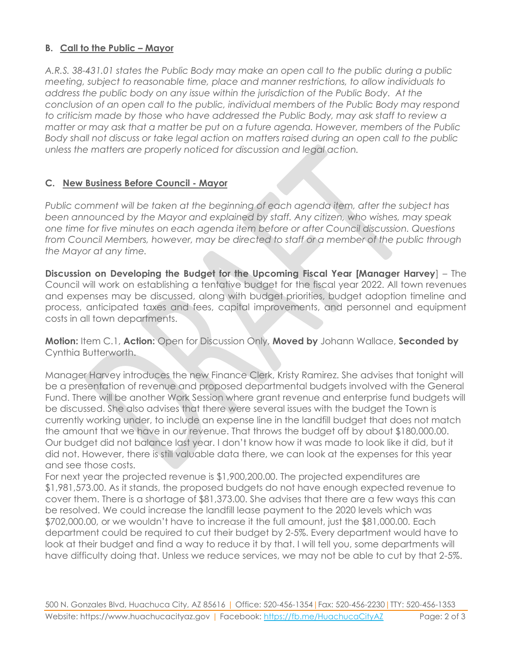## **B. Call to the Public – Mayor**

*A.R.S. 38-431.01 states the Public Body may make an open call to the public during a public meeting, subject to reasonable time, place and manner restrictions, to allow individuals to address the public body on any issue within the jurisdiction of the Public Body. At the conclusion of an open call to the public, individual members of the Public Body may respond to criticism made by those who have addressed the Public Body, may ask staff to review a matter or may ask that a matter be put on a future agenda. However, members of the Public Body shall not discuss or take legal action on matters raised during an open call to the public unless the matters are properly noticed for discussion and legal action.*

#### **C. New Business Before Council - Mayor**

*Public comment will be taken at the beginning of each agenda item, after the subject has been announced by the Mayor and explained by staff. Any citizen, who wishes, may speak one time for five minutes on each agenda item before or after Council discussion. Questions from Council Members, however, may be directed to staff or a member of the public through the Mayor at any time.* 

**Discussion on Developing the Budget for the Upcoming Fiscal Year [Manager Harvey**] – The Council will work on establishing a tentative budget for the fiscal year 2022. All town revenues and expenses may be discussed, along with budget priorities, budget adoption timeline and process, anticipated taxes and fees, capital improvements, and personnel and equipment costs in all town departments.

**Motion:** Item C.1, **Action:** Open for Discussion Only, **Moved by** Johann Wallace, **Seconded by** Cynthia Butterworth.

Manager Harvey introduces the new Finance Clerk, Kristy Ramirez. She advises that tonight will be a presentation of revenue and proposed departmental budgets involved with the General Fund. There will be another Work Session where grant revenue and enterprise fund budgets will be discussed. She also advises that there were several issues with the budget the Town is currently working under, to include an expense line in the landfill budget that does not match the amount that we have in our revenue. That throws the budget off by about \$180,000.00. Our budget did not balance last year. I don't know how it was made to look like it did, but it did not. However, there is still valuable data there, we can look at the expenses for this year and see those costs.

For next year the projected revenue is \$1,900,200.00. The projected expenditures are \$1,981,573.00. As it stands, the proposed budgets do not have enough expected revenue to cover them. There is a shortage of \$81,373.00. She advises that there are a few ways this can be resolved. We could increase the landfill lease payment to the 2020 levels which was \$702,000.00, or we wouldn't have to increase it the full amount, just the \$81,000.00. Each department could be required to cut their budget by 2-5%. Every department would have to look at their budget and find a way to reduce it by that. I will tell you, some departments will have difficulty doing that. Unless we reduce services, we may not be able to cut by that 2-5%.